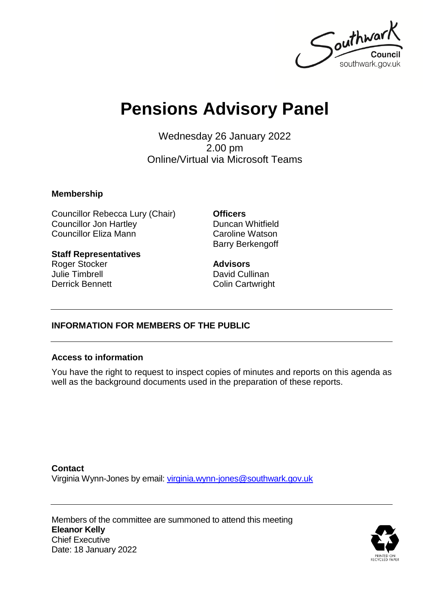

# **Pensions Advisory Panel**

Wednesday 26 January 2022 2.00 pm Online/Virtual via Microsoft Teams

#### **Membership**

Councillor Rebecca Lury (Chair) Councillor Jon Hartley Councillor Eliza Mann

**Staff Representatives** Roger Stocker Julie Timbrell Derrick Bennett

**Officers** Duncan Whitfield Caroline Watson Barry Berkengoff

**Advisors** David Cullinan Colin Cartwright

### **INFORMATION FOR MEMBERS OF THE PUBLIC**

#### **Access to information**

You have the right to request to inspect copies of minutes and reports on this agenda as well as the background documents used in the preparation of these reports.

**Contact** Virginia Wynn-Jones by email: [virginia.wynn-jones@southwark.gov.uk](mailto:virginia.wynn-jones@southwark.gov.uk)

Members of the committee are summoned to attend this meeting **Eleanor Kelly** Chief Executive Date: 18 January 2022

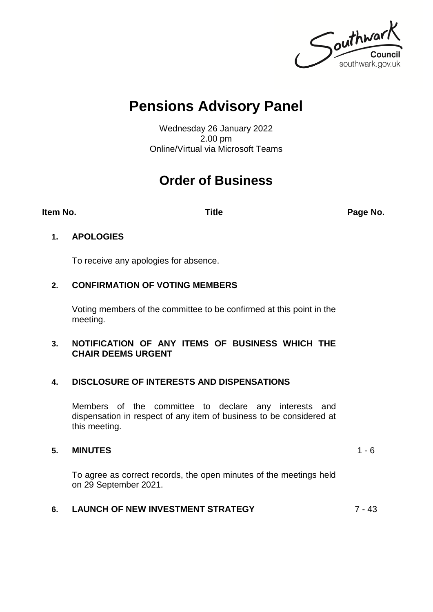

# **Pensions Advisory Panel**

Wednesday 26 January 2022 2.00 pm Online/Virtual via Microsoft Teams

# **Order of Business**

**Item No. Title Page No.**

### **1. APOLOGIES**

To receive any apologies for absence.

## **2. CONFIRMATION OF VOTING MEMBERS**

Voting members of the committee to be confirmed at this point in the meeting.

#### **3. NOTIFICATION OF ANY ITEMS OF BUSINESS WHICH THE CHAIR DEEMS URGENT**

### **4. DISCLOSURE OF INTERESTS AND DISPENSATIONS**

Members of the committee to declare any interests and dispensation in respect of any item of business to be considered at this meeting.

### **5. MINUTES** 1 - 6

To agree as correct records, the open minutes of the meetings held on 29 September 2021.

# **6. LAUNCH OF NEW INVESTMENT STRATEGY** 7 - 43